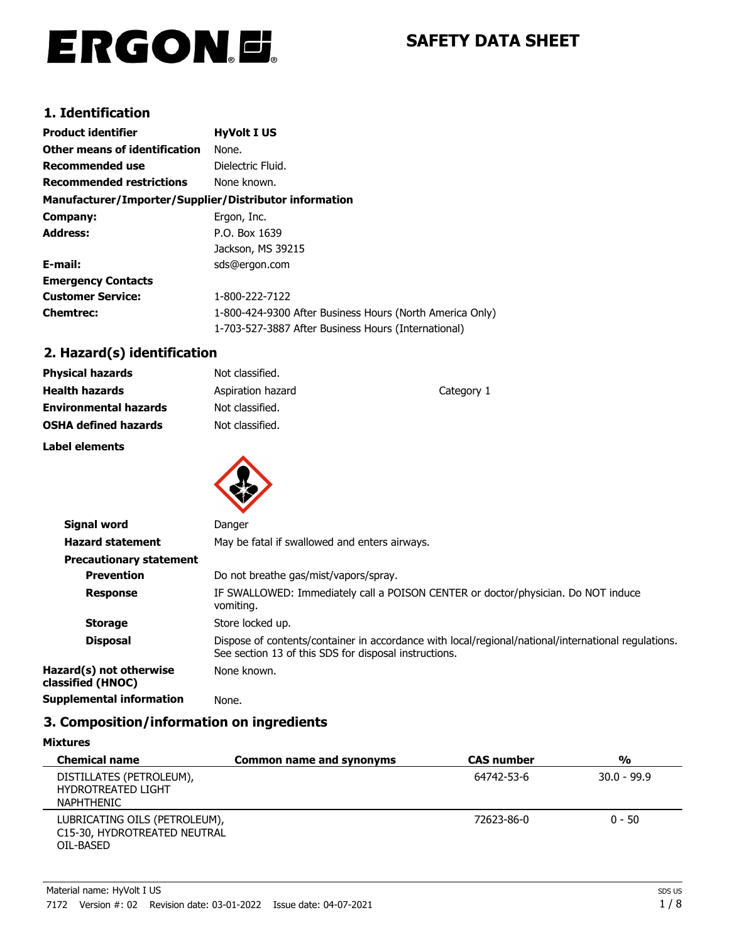# ERGON.E.

# **SAFETY DATA SHEET**

# **1. Identification**

| <b>Product identifier</b>                              | <b>HyVolt I US</b>                                       |
|--------------------------------------------------------|----------------------------------------------------------|
| Other means of identification                          | None.                                                    |
| Recommended use                                        | Dielectric Fluid.                                        |
| <b>Recommended restrictions</b>                        | None known.                                              |
| Manufacturer/Importer/Supplier/Distributor information |                                                          |
| Company:                                               | Ergon, Inc.                                              |
| <b>Address:</b>                                        | P.O. Box 1639                                            |
|                                                        | Jackson, MS 39215                                        |
| E-mail:                                                | sds@ergon.com                                            |
| <b>Emergency Contacts</b>                              |                                                          |
| <b>Customer Service:</b>                               | 1-800-222-7122                                           |
| <b>Chemtrec:</b>                                       | 1-800-424-9300 After Business Hours (North America Only) |
|                                                        | 1-703-527-3887 After Business Hours (International)      |

# **2. Hazard(s) identification**

| <b>Physical hazards</b>      | Not classified.   |            |
|------------------------------|-------------------|------------|
| <b>Health hazards</b>        | Aspiration hazard | Category 1 |
| <b>Environmental hazards</b> | Not classified.   |            |
| <b>OSHA defined hazards</b>  | Not classified.   |            |
| Label elements               |                   |            |
|                              |                   |            |



| <b>Signal word</b>                           | Danger                                                                                                                                                       |
|----------------------------------------------|--------------------------------------------------------------------------------------------------------------------------------------------------------------|
| <b>Hazard statement</b>                      | May be fatal if swallowed and enters airways.                                                                                                                |
| <b>Precautionary statement</b>               |                                                                                                                                                              |
| <b>Prevention</b>                            | Do not breathe gas/mist/vapors/spray.                                                                                                                        |
| <b>Response</b>                              | IF SWALLOWED: Immediately call a POISON CENTER or doctor/physician. Do NOT induce<br>vomiting.                                                               |
| <b>Storage</b>                               | Store locked up.                                                                                                                                             |
| <b>Disposal</b>                              | Dispose of contents/container in accordance with local/regional/national/international regulations.<br>See section 13 of this SDS for disposal instructions. |
| Hazard(s) not otherwise<br>classified (HNOC) | None known.                                                                                                                                                  |
| <b>Supplemental information</b>              | None.                                                                                                                                                        |

# **3. Composition/information on ingredients**

| <b>Mixtures</b>                                                            |                                 |                   |               |
|----------------------------------------------------------------------------|---------------------------------|-------------------|---------------|
| <b>Chemical name</b>                                                       | <b>Common name and synonyms</b> | <b>CAS number</b> | $\frac{0}{0}$ |
| DISTILLATES (PETROLEUM),<br><b>HYDROTREATED LIGHT</b><br><b>NAPHTHENIC</b> |                                 | 64742-53-6        | $30.0 - 99.9$ |
| LUBRICATING OILS (PETROLEUM),<br>C15-30, HYDROTREATED NEUTRAL<br>OIL-BASED |                                 | 72623-86-0        | $0 - 50$      |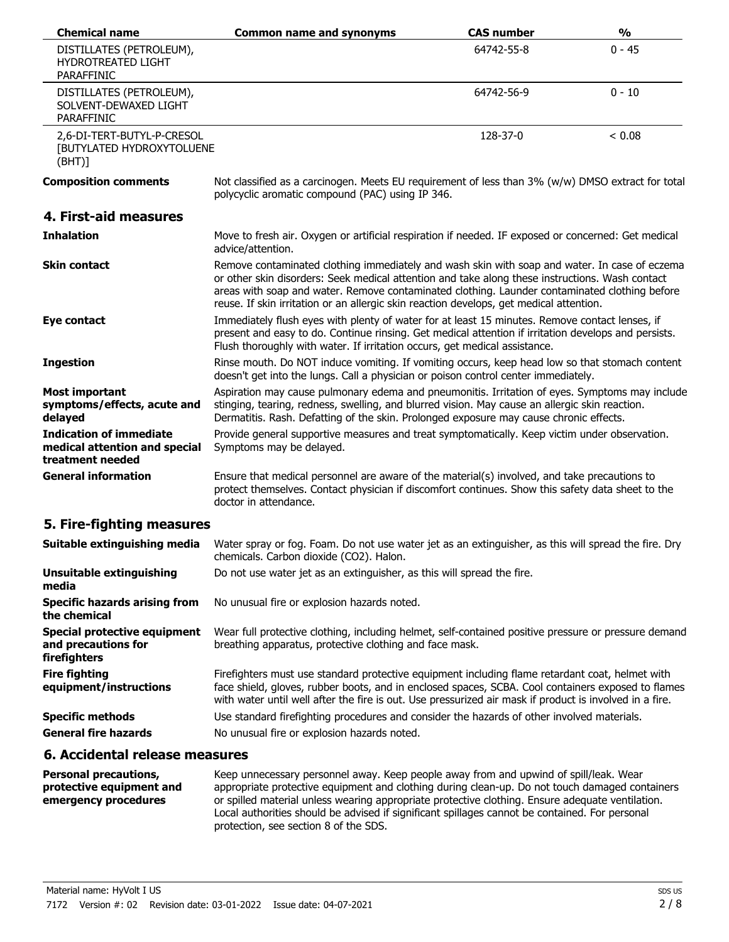| <b>Chemical name</b>                                                                | <b>Common name and synonyms</b>                                                                                                                                                                                                                                                                                                                                                              | <b>CAS number</b> | $\frac{0}{0}$ |
|-------------------------------------------------------------------------------------|----------------------------------------------------------------------------------------------------------------------------------------------------------------------------------------------------------------------------------------------------------------------------------------------------------------------------------------------------------------------------------------------|-------------------|---------------|
| DISTILLATES (PETROLEUM),<br><b>HYDROTREATED LIGHT</b><br>PARAFFINIC                 |                                                                                                                                                                                                                                                                                                                                                                                              | 64742-55-8        | $0 - 45$      |
| DISTILLATES (PETROLEUM),<br>SOLVENT-DEWAXED LIGHT<br>PARAFFINIC                     |                                                                                                                                                                                                                                                                                                                                                                                              | 64742-56-9        | $0 - 10$      |
| 2,6-DI-TERT-BUTYL-P-CRESOL<br>[BUTYLATED HYDROXYTOLUENE<br>(BHT)]                   |                                                                                                                                                                                                                                                                                                                                                                                              | 128-37-0          | < 0.08        |
| <b>Composition comments</b>                                                         | Not classified as a carcinogen. Meets EU requirement of less than 3% (w/w) DMSO extract for total<br>polycyclic aromatic compound (PAC) using IP 346.                                                                                                                                                                                                                                        |                   |               |
| 4. First-aid measures                                                               |                                                                                                                                                                                                                                                                                                                                                                                              |                   |               |
| <b>Inhalation</b>                                                                   | Move to fresh air. Oxygen or artificial respiration if needed. IF exposed or concerned: Get medical<br>advice/attention.                                                                                                                                                                                                                                                                     |                   |               |
| <b>Skin contact</b>                                                                 | Remove contaminated clothing immediately and wash skin with soap and water. In case of eczema<br>or other skin disorders: Seek medical attention and take along these instructions. Wash contact<br>areas with soap and water. Remove contaminated clothing. Launder contaminated clothing before<br>reuse. If skin irritation or an allergic skin reaction develops, get medical attention. |                   |               |
| Eye contact                                                                         | Immediately flush eyes with plenty of water for at least 15 minutes. Remove contact lenses, if<br>present and easy to do. Continue rinsing. Get medical attention if irritation develops and persists.<br>Flush thoroughly with water. If irritation occurs, get medical assistance.                                                                                                         |                   |               |
| <b>Ingestion</b>                                                                    | Rinse mouth. Do NOT induce vomiting. If vomiting occurs, keep head low so that stomach content<br>doesn't get into the lungs. Call a physician or poison control center immediately.                                                                                                                                                                                                         |                   |               |
| <b>Most important</b><br>symptoms/effects, acute and<br>delayed                     | Aspiration may cause pulmonary edema and pneumonitis. Irritation of eyes. Symptoms may include<br>stinging, tearing, redness, swelling, and blurred vision. May cause an allergic skin reaction.<br>Dermatitis. Rash. Defatting of the skin. Prolonged exposure may cause chronic effects.                                                                                                   |                   |               |
| <b>Indication of immediate</b><br>medical attention and special<br>treatment needed | Provide general supportive measures and treat symptomatically. Keep victim under observation.<br>Symptoms may be delayed.                                                                                                                                                                                                                                                                    |                   |               |
| <b>General information</b>                                                          | Ensure that medical personnel are aware of the material(s) involved, and take precautions to<br>protect themselves. Contact physician if discomfort continues. Show this safety data sheet to the<br>doctor in attendance.                                                                                                                                                                   |                   |               |
| 5. Fire-fighting measures                                                           |                                                                                                                                                                                                                                                                                                                                                                                              |                   |               |
| Suitable extinguishing media                                                        | Water spray or fog. Foam. Do not use water jet as an extinguisher, as this will spread the fire. Dry<br>chemicals. Carbon dioxide (CO2). Halon.                                                                                                                                                                                                                                              |                   |               |
| <b>Unsuitable extinguishing</b><br>media                                            | Do not use water jet as an extinguisher, as this will spread the fire.                                                                                                                                                                                                                                                                                                                       |                   |               |
| <b>Specific hazards arising from</b><br>the chemical                                | No unusual fire or explosion hazards noted.                                                                                                                                                                                                                                                                                                                                                  |                   |               |
| <b>Special protective equipment</b><br>and precautions for<br>firefighters          | Wear full protective clothing, including helmet, self-contained positive pressure or pressure demand<br>breathing apparatus, protective clothing and face mask.                                                                                                                                                                                                                              |                   |               |
| <b>Fire fighting</b><br>equipment/instructions                                      | Firefighters must use standard protective equipment including flame retardant coat, helmet with<br>face shield, gloves, rubber boots, and in enclosed spaces, SCBA. Cool containers exposed to flames<br>with water until well after the fire is out. Use pressurized air mask if product is involved in a fire.                                                                             |                   |               |
| <b>Specific methods</b>                                                             | Use standard firefighting procedures and consider the hazards of other involved materials.                                                                                                                                                                                                                                                                                                   |                   |               |
| <b>General fire hazards</b>                                                         | No unusual fire or explosion hazards noted.                                                                                                                                                                                                                                                                                                                                                  |                   |               |

# **6. Accidental release measures**

| <b>Personal precautions,</b> | Keep unnecessary personnel away. Keep people away from and upwind of spill/leak. Wear            |
|------------------------------|--------------------------------------------------------------------------------------------------|
| protective equipment and     | appropriate protective equipment and clothing during clean-up. Do not touch damaged containers   |
| emergency procedures         | or spilled material unless wearing appropriate protective clothing. Ensure adequate ventilation. |
|                              | Local authorities should be advised if significant spillages cannot be contained. For personal   |
|                              | protection, see section 8 of the SDS.                                                            |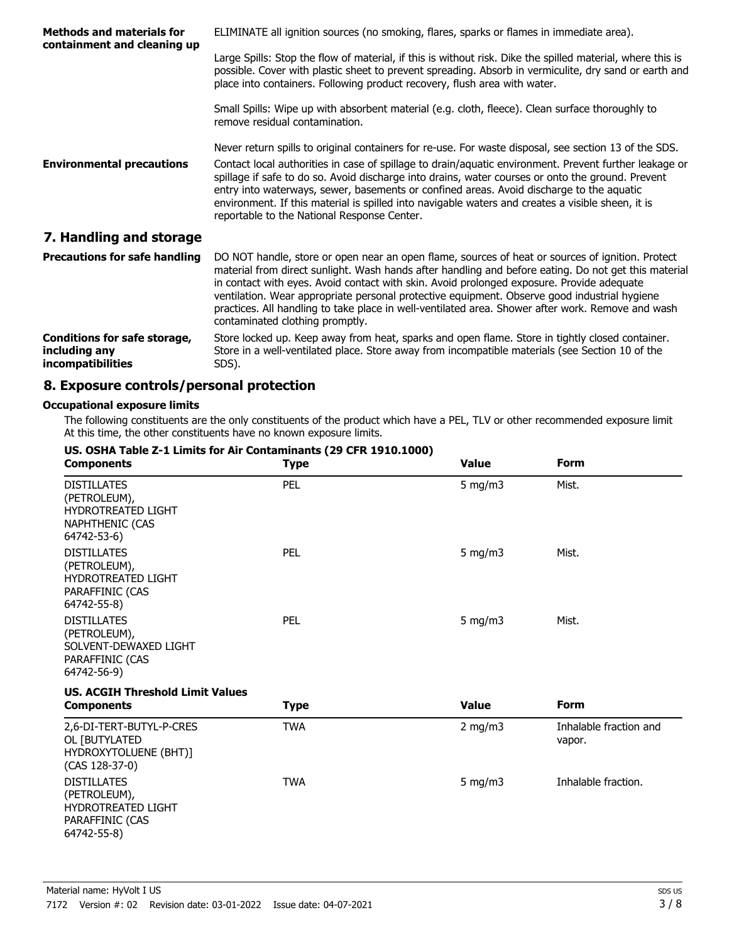| <b>Methods and materials for</b><br>containment and cleaning up                  | ELIMINATE all ignition sources (no smoking, flares, sparks or flames in immediate area).                                                                                                                                                                                                                                                                                                                                                                                                                                                                             |
|----------------------------------------------------------------------------------|----------------------------------------------------------------------------------------------------------------------------------------------------------------------------------------------------------------------------------------------------------------------------------------------------------------------------------------------------------------------------------------------------------------------------------------------------------------------------------------------------------------------------------------------------------------------|
|                                                                                  | Large Spills: Stop the flow of material, if this is without risk. Dike the spilled material, where this is<br>possible. Cover with plastic sheet to prevent spreading. Absorb in vermiculite, dry sand or earth and<br>place into containers. Following product recovery, flush area with water.                                                                                                                                                                                                                                                                     |
|                                                                                  | Small Spills: Wipe up with absorbent material (e.g. cloth, fleece). Clean surface thoroughly to<br>remove residual contamination.                                                                                                                                                                                                                                                                                                                                                                                                                                    |
| <b>Environmental precautions</b>                                                 | Never return spills to original containers for re-use. For waste disposal, see section 13 of the SDS.<br>Contact local authorities in case of spillage to drain/aquatic environment. Prevent further leakage or<br>spillage if safe to do so. Avoid discharge into drains, water courses or onto the ground. Prevent<br>entry into waterways, sewer, basements or confined areas. Avoid discharge to the aquatic<br>environment. If this material is spilled into navigable waters and creates a visible sheen, it is<br>reportable to the National Response Center. |
| 7. Handling and storage                                                          |                                                                                                                                                                                                                                                                                                                                                                                                                                                                                                                                                                      |
| <b>Precautions for safe handling</b>                                             | DO NOT handle, store or open near an open flame, sources of heat or sources of ignition. Protect<br>material from direct sunlight. Wash hands after handling and before eating. Do not get this material<br>in contact with eyes. Avoid contact with skin. Avoid prolonged exposure. Provide adequate<br>ventilation. Wear appropriate personal protective equipment. Observe good industrial hygiene<br>practices. All handling to take place in well-ventilated area. Shower after work. Remove and wash<br>contaminated clothing promptly.                        |
| <b>Conditions for safe storage,</b><br>including any<br><i>incompatibilities</i> | Store locked up. Keep away from heat, sparks and open flame. Store in tightly closed container.<br>Store in a well-ventilated place. Store away from incompatible materials (see Section 10 of the<br>SDS).                                                                                                                                                                                                                                                                                                                                                          |

## **8. Exposure controls/personal protection**

## **Occupational exposure limits**

The following constituents are the only constituents of the product which have a PEL, TLV or other recommended exposure limit. At this time, the other constituents have no known exposure limits.

| US. OSHA Table Z-1 Limits for Air Contaminants (29 CFR 1910.1000)<br><b>Components</b>                   | <b>Type</b> | <b>Value</b> | <b>Form</b>                      |
|----------------------------------------------------------------------------------------------------------|-------------|--------------|----------------------------------|
| <b>DISTILLATES</b><br>(PETROLEUM),<br><b>HYDROTREATED LIGHT</b><br><b>NAPHTHENIC (CAS</b><br>64742-53-6) | PEL         | 5 mg/m $3$   | Mist.                            |
| <b>DISTILLATES</b><br>(PETROLEUM),<br>HYDROTREATED LIGHT<br>PARAFFINIC (CAS<br>64742-55-8)               | PEL         | 5 mg/m $3$   | Mist.                            |
| <b>DISTILLATES</b><br>(PETROLEUM),<br>SOLVENT-DEWAXED LIGHT<br>PARAFFINIC (CAS<br>64742-56-9)            | PEL         | 5 mg/m $3$   | Mist.                            |
| <b>US. ACGIH Threshold Limit Values</b>                                                                  |             | <b>Value</b> | <b>Form</b>                      |
| <b>Components</b>                                                                                        | <b>Type</b> |              |                                  |
| 2,6-DI-TERT-BUTYL-P-CRES<br>OL [BUTYLATED<br>HYDROXYTOLUENE (BHT)]<br>(CAS 128-37-0)                     | <b>TWA</b>  | 2 mg/m $3$   | Inhalable fraction and<br>vapor. |
| <b>DISTILLATES</b><br>(PETROLEUM),<br><b>HYDROTREATED LIGHT</b><br>PARAFFINIC (CAS<br>64742-55-8)        | <b>TWA</b>  | 5 mg/m $3$   | Inhalable fraction.              |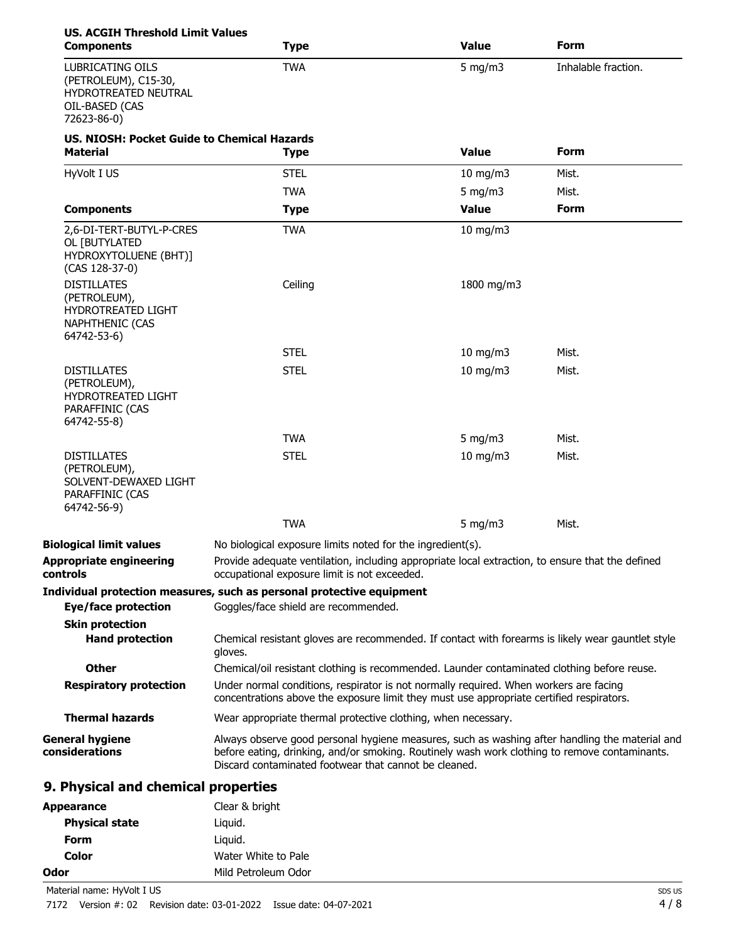| <b>US. ACGIH Threshold Limit Values</b><br><b>Components</b>                                             | <b>Type</b>                                                                                                                                                                                                                                              | <b>Value</b>  | <b>Form</b>         |
|----------------------------------------------------------------------------------------------------------|----------------------------------------------------------------------------------------------------------------------------------------------------------------------------------------------------------------------------------------------------------|---------------|---------------------|
| <b>LUBRICATING OILS</b><br>(PETROLEUM), C15-30,<br>HYDROTREATED NEUTRAL<br>OIL-BASED (CAS<br>72623-86-0) | <b>TWA</b>                                                                                                                                                                                                                                               | 5 mg/m $3$    | Inhalable fraction. |
| US, NIOSH: Pocket Guide to Chemical Hazards<br><b>Material</b>                                           | <b>Type</b>                                                                                                                                                                                                                                              | <b>Value</b>  | Form                |
| HyVolt I US                                                                                              | <b>STEL</b>                                                                                                                                                                                                                                              | $10$ mg/m $3$ | Mist.               |
|                                                                                                          | <b>TWA</b>                                                                                                                                                                                                                                               | 5 mg/m $3$    | Mist.               |
| <b>Components</b>                                                                                        | <b>Type</b>                                                                                                                                                                                                                                              | <b>Value</b>  | <b>Form</b>         |
| 2,6-DI-TERT-BUTYL-P-CRES<br>OL [BUTYLATED<br>HYDROXYTOLUENE (BHT)]<br>(CAS 128-37-0)                     | <b>TWA</b>                                                                                                                                                                                                                                               | $10$ mg/m $3$ |                     |
| <b>DISTILLATES</b><br>(PETROLEUM),<br>HYDROTREATED LIGHT<br><b>NAPHTHENIC (CAS</b><br>64742-53-6)        | Ceiling                                                                                                                                                                                                                                                  | 1800 mg/m3    |                     |
|                                                                                                          | <b>STEL</b>                                                                                                                                                                                                                                              | $10$ mg/m $3$ | Mist.               |
| <b>DISTILLATES</b><br>(PETROLEUM),<br>HYDROTREATED LIGHT<br>PARAFFINIC (CAS<br>64742-55-8)               | <b>STEL</b>                                                                                                                                                                                                                                              | $10$ mg/m $3$ | Mist.               |
|                                                                                                          | <b>TWA</b>                                                                                                                                                                                                                                               | 5 mg/m $3$    | Mist.               |
| <b>DISTILLATES</b><br>(PETROLEUM),<br>SOLVENT-DEWAXED LIGHT<br>PARAFFINIC (CAS<br>64742-56-9)            | <b>STEL</b>                                                                                                                                                                                                                                              | $10$ mg/m $3$ | Mist.               |
|                                                                                                          | <b>TWA</b>                                                                                                                                                                                                                                               | 5 mg/m $3$    | Mist.               |
| <b>Biological limit values</b>                                                                           | No biological exposure limits noted for the ingredient(s).                                                                                                                                                                                               |               |                     |
| <b>Appropriate engineering</b><br>controls                                                               | Provide adequate ventilation, including appropriate local extraction, to ensure that the defined<br>occupational exposure limit is not exceeded.                                                                                                         |               |                     |
|                                                                                                          | Individual protection measures, such as personal protective equipment                                                                                                                                                                                    |               |                     |
| <b>Eye/face protection</b>                                                                               | Goggles/face shield are recommended.                                                                                                                                                                                                                     |               |                     |
| <b>Skin protection</b><br><b>Hand protection</b>                                                         | Chemical resistant gloves are recommended. If contact with forearms is likely wear gauntlet style<br>gloves.                                                                                                                                             |               |                     |
| <b>Other</b>                                                                                             | Chemical/oil resistant clothing is recommended. Launder contaminated clothing before reuse.                                                                                                                                                              |               |                     |
| <b>Respiratory protection</b>                                                                            | Under normal conditions, respirator is not normally required. When workers are facing<br>concentrations above the exposure limit they must use appropriate certified respirators.                                                                        |               |                     |
| <b>Thermal hazards</b>                                                                                   | Wear appropriate thermal protective clothing, when necessary.                                                                                                                                                                                            |               |                     |
| <b>General hygiene</b><br>considerations                                                                 | Always observe good personal hygiene measures, such as washing after handling the material and<br>before eating, drinking, and/or smoking. Routinely wash work clothing to remove contaminants.<br>Discard contaminated footwear that cannot be cleaned. |               |                     |
| 9. Physical and chemical properties                                                                      |                                                                                                                                                                                                                                                          |               |                     |
| <b>Appearance</b>                                                                                        | Clear & bright                                                                                                                                                                                                                                           |               |                     |
| <b>Physical state</b>                                                                                    | Liquid.                                                                                                                                                                                                                                                  |               |                     |
| <b>Form</b>                                                                                              | Liquid.                                                                                                                                                                                                                                                  |               |                     |

**Color** Water White to Pale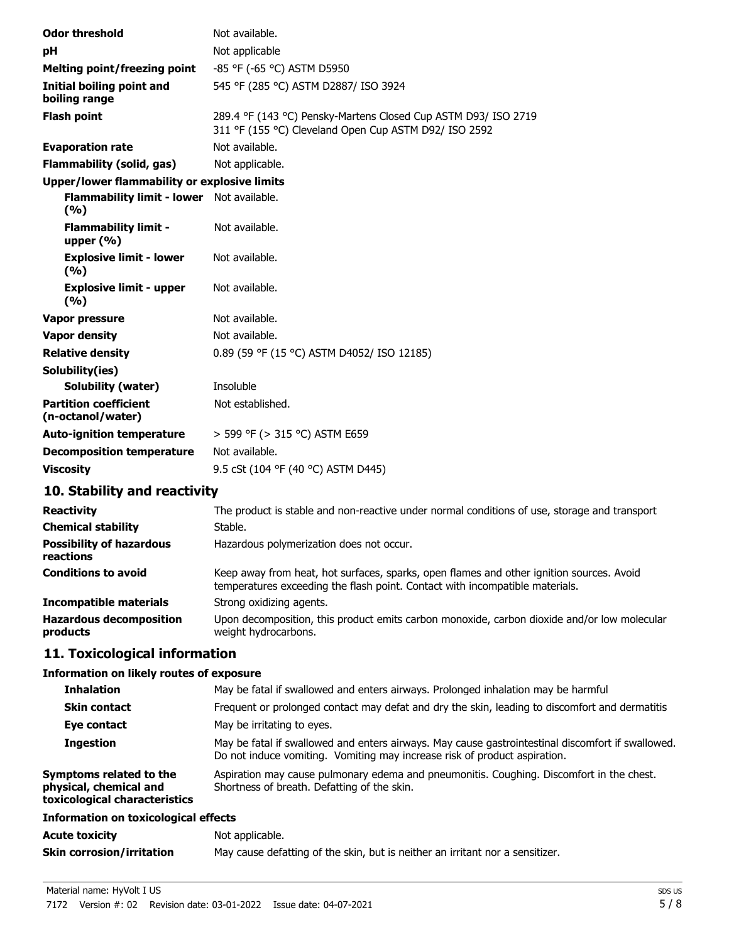| <b>Odor threshold</b>                             | Not available.                                                                                                          |
|---------------------------------------------------|-------------------------------------------------------------------------------------------------------------------------|
| pH                                                | Not applicable                                                                                                          |
| <b>Melting point/freezing point</b>               | -85 °F (-65 °C) ASTM D5950                                                                                              |
| Initial boiling point and<br>boiling range        | 545 °F (285 °C) ASTM D2887/ ISO 3924                                                                                    |
| <b>Flash point</b>                                | 289.4 °F (143 °C) Pensky-Martens Closed Cup ASTM D93/ ISO 2719<br>311 °F (155 °C) Cleveland Open Cup ASTM D92/ ISO 2592 |
| <b>Evaporation rate</b>                           | Not available.                                                                                                          |
| <b>Flammability (solid, gas)</b>                  | Not applicable.                                                                                                         |
| Upper/lower flammability or explosive limits      |                                                                                                                         |
| Flammability limit - lower Not available.<br>(%)  |                                                                                                                         |
| <b>Flammability limit -</b><br>upper $(% )$       | Not available.                                                                                                          |
| <b>Explosive limit - lower</b><br>(9/6)           | Not available.                                                                                                          |
| <b>Explosive limit - upper</b><br>(%)             | Not available.                                                                                                          |
| Vapor pressure                                    | Not available.                                                                                                          |
| <b>Vapor density</b>                              | Not available.                                                                                                          |
| <b>Relative density</b>                           | 0.89 (59 °F (15 °C) ASTM D4052/ ISO 12185)                                                                              |
| Solubility(ies)                                   |                                                                                                                         |
| <b>Solubility (water)</b>                         | Insoluble                                                                                                               |
| <b>Partition coefficient</b><br>(n-octanol/water) | Not established.                                                                                                        |
| <b>Auto-ignition temperature</b>                  | > 599 °F (> 315 °C) ASTM E659                                                                                           |
| <b>Decomposition temperature</b>                  | Not available.                                                                                                          |
| <b>Viscosity</b>                                  | 9.5 cSt (104 °F (40 °C) ASTM D445)                                                                                      |

# **10. Stability and reactivity**

| <b>Reactivity</b>                            | The product is stable and non-reactive under normal conditions of use, storage and transport                                                                             |
|----------------------------------------------|--------------------------------------------------------------------------------------------------------------------------------------------------------------------------|
| <b>Chemical stability</b>                    | Stable.                                                                                                                                                                  |
| <b>Possibility of hazardous</b><br>reactions | Hazardous polymerization does not occur.                                                                                                                                 |
| <b>Conditions to avoid</b>                   | Keep away from heat, hot surfaces, sparks, open flames and other ignition sources. Avoid<br>temperatures exceeding the flash point. Contact with incompatible materials. |
| <b>Incompatible materials</b>                | Strong oxidizing agents.                                                                                                                                                 |
| <b>Hazardous decomposition</b><br>products   | Upon decomposition, this product emits carbon monoxide, carbon dioxide and/or low molecular<br>weight hydrocarbons.                                                      |

# **11. Toxicological information**

## **Information on likely routes of exposure**

| <b>Inhalation</b>                                                                  | May be fatal if swallowed and enters airways. Prolonged inhalation may be harmful                                                                                              |
|------------------------------------------------------------------------------------|--------------------------------------------------------------------------------------------------------------------------------------------------------------------------------|
| <b>Skin contact</b>                                                                | Frequent or prolonged contact may defat and dry the skin, leading to discomfort and dermatitis                                                                                 |
| Eye contact                                                                        | May be irritating to eyes.                                                                                                                                                     |
| <b>Ingestion</b>                                                                   | May be fatal if swallowed and enters airways. May cause gastrointestinal discomfort if swallowed.<br>Do not induce vomiting. Vomiting may increase risk of product aspiration. |
| Symptoms related to the<br>physical, chemical and<br>toxicological characteristics | Aspiration may cause pulmonary edema and pneumonitis. Coughing. Discomfort in the chest.<br>Shortness of breath. Defatting of the skin.                                        |
| Information on toxicological effects                                               |                                                                                                                                                                                |
| <b>Acute toxicity</b>                                                              | Not applicable.                                                                                                                                                                |
| <b>Skin corrosion/irritation</b>                                                   | May cause defatting of the skin, but is neither an irritant nor a sensitizer.                                                                                                  |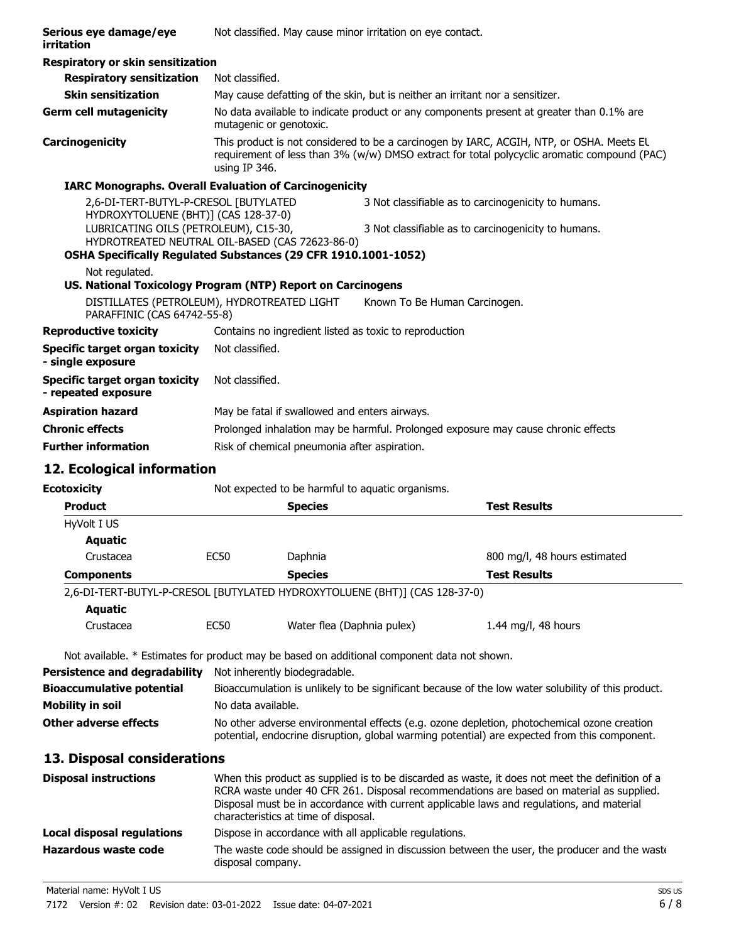| Serious eye damage/eye<br>irritation                                                        |                                                                                                                                                                           |                                               | Not classified. May cause minor irritation on eye contact.                                                 |                                                                                                                                                                                                                                                                                          |
|---------------------------------------------------------------------------------------------|---------------------------------------------------------------------------------------------------------------------------------------------------------------------------|-----------------------------------------------|------------------------------------------------------------------------------------------------------------|------------------------------------------------------------------------------------------------------------------------------------------------------------------------------------------------------------------------------------------------------------------------------------------|
| Respiratory or skin sensitization                                                           |                                                                                                                                                                           |                                               |                                                                                                            |                                                                                                                                                                                                                                                                                          |
| <b>Respiratory sensitization</b>                                                            | Not classified.                                                                                                                                                           |                                               |                                                                                                            |                                                                                                                                                                                                                                                                                          |
| <b>Skin sensitization</b>                                                                   |                                                                                                                                                                           |                                               | May cause defatting of the skin, but is neither an irritant nor a sensitizer.                              |                                                                                                                                                                                                                                                                                          |
| <b>Germ cell mutagenicity</b>                                                               | mutagenic or genotoxic.                                                                                                                                                   |                                               |                                                                                                            | No data available to indicate product or any components present at greater than 0.1% are                                                                                                                                                                                                 |
| Carcinogenicity                                                                             | using IP 346.                                                                                                                                                             |                                               |                                                                                                            | This product is not considered to be a carcinogen by IARC, ACGIH, NTP, or OSHA. Meets EL<br>requirement of less than 3% (w/w) DMSO extract for total polycyclic aromatic compound (PAC)                                                                                                  |
| <b>IARC Monographs. Overall Evaluation of Carcinogenicity</b>                               |                                                                                                                                                                           |                                               |                                                                                                            |                                                                                                                                                                                                                                                                                          |
|                                                                                             | 2,6-DI-TERT-BUTYL-P-CRESOL [BUTYLATED<br>HYDROXYTOLUENE (BHT)] (CAS 128-37-0)<br>LUBRICATING OILS (PETROLEUM), C15-30,<br>HYDROTREATED NEUTRAL OIL-BASED (CAS 72623-86-0) |                                               | 3 Not classifiable as to carcinogenicity to humans.<br>3 Not classifiable as to carcinogenicity to humans. |                                                                                                                                                                                                                                                                                          |
| OSHA Specifically Regulated Substances (29 CFR 1910.1001-1052)                              |                                                                                                                                                                           |                                               |                                                                                                            |                                                                                                                                                                                                                                                                                          |
| Not regulated.<br>US. National Toxicology Program (NTP) Report on Carcinogens               |                                                                                                                                                                           |                                               |                                                                                                            |                                                                                                                                                                                                                                                                                          |
| DISTILLATES (PETROLEUM), HYDROTREATED LIGHT<br>PARAFFINIC (CAS 64742-55-8)                  |                                                                                                                                                                           |                                               | Known To Be Human Carcinogen.                                                                              |                                                                                                                                                                                                                                                                                          |
| <b>Reproductive toxicity</b>                                                                |                                                                                                                                                                           |                                               | Contains no ingredient listed as toxic to reproduction                                                     |                                                                                                                                                                                                                                                                                          |
| <b>Specific target organ toxicity</b><br>- single exposure                                  | Not classified.                                                                                                                                                           |                                               |                                                                                                            |                                                                                                                                                                                                                                                                                          |
| <b>Specific target organ toxicity</b><br>- repeated exposure                                | Not classified.                                                                                                                                                           |                                               |                                                                                                            |                                                                                                                                                                                                                                                                                          |
| <b>Aspiration hazard</b>                                                                    |                                                                                                                                                                           | May be fatal if swallowed and enters airways. |                                                                                                            |                                                                                                                                                                                                                                                                                          |
| <b>Chronic effects</b>                                                                      |                                                                                                                                                                           |                                               |                                                                                                            | Prolonged inhalation may be harmful. Prolonged exposure may cause chronic effects.                                                                                                                                                                                                       |
| <b>Further information</b>                                                                  |                                                                                                                                                                           | Risk of chemical pneumonia after aspiration.  |                                                                                                            |                                                                                                                                                                                                                                                                                          |
|                                                                                             |                                                                                                                                                                           |                                               |                                                                                                            |                                                                                                                                                                                                                                                                                          |
|                                                                                             |                                                                                                                                                                           |                                               |                                                                                                            |                                                                                                                                                                                                                                                                                          |
| 12. Ecological information                                                                  |                                                                                                                                                                           |                                               |                                                                                                            |                                                                                                                                                                                                                                                                                          |
| <b>Ecotoxicity</b>                                                                          |                                                                                                                                                                           |                                               | Not expected to be harmful to aquatic organisms.                                                           |                                                                                                                                                                                                                                                                                          |
| <b>Product</b>                                                                              |                                                                                                                                                                           | <b>Species</b>                                |                                                                                                            | <b>Test Results</b>                                                                                                                                                                                                                                                                      |
| HyVolt I US                                                                                 |                                                                                                                                                                           |                                               |                                                                                                            |                                                                                                                                                                                                                                                                                          |
| <b>Aquatic</b>                                                                              |                                                                                                                                                                           |                                               |                                                                                                            |                                                                                                                                                                                                                                                                                          |
| Crustacea                                                                                   | <b>EC50</b>                                                                                                                                                               | Daphnia                                       |                                                                                                            | 800 mg/l, 48 hours estimated                                                                                                                                                                                                                                                             |
| <b>Components</b>                                                                           |                                                                                                                                                                           | <b>Species</b>                                |                                                                                                            | <b>Test Results</b>                                                                                                                                                                                                                                                                      |
| 2,6-DI-TERT-BUTYL-P-CRESOL [BUTYLATED HYDROXYTOLUENE (BHT)] (CAS 128-37-0)                  |                                                                                                                                                                           |                                               |                                                                                                            |                                                                                                                                                                                                                                                                                          |
| <b>Aquatic</b><br>Crustacea                                                                 | EC <sub>50</sub>                                                                                                                                                          | Water flea (Daphnia pulex)                    |                                                                                                            | 1.44 mg/l, 48 hours                                                                                                                                                                                                                                                                      |
|                                                                                             |                                                                                                                                                                           |                                               |                                                                                                            |                                                                                                                                                                                                                                                                                          |
| Not available. * Estimates for product may be based on additional component data not shown. |                                                                                                                                                                           |                                               |                                                                                                            |                                                                                                                                                                                                                                                                                          |
| <b>Persistence and degradability</b>                                                        |                                                                                                                                                                           | Not inherently biodegradable.                 |                                                                                                            |                                                                                                                                                                                                                                                                                          |
| <b>Bioaccumulative potential</b>                                                            |                                                                                                                                                                           |                                               |                                                                                                            | Bioaccumulation is unlikely to be significant because of the low water solubility of this product.                                                                                                                                                                                       |
| <b>Mobility in soil</b><br><b>Other adverse effects</b>                                     | No data available.                                                                                                                                                        |                                               |                                                                                                            | No other adverse environmental effects (e.g. ozone depletion, photochemical ozone creation                                                                                                                                                                                               |
|                                                                                             |                                                                                                                                                                           |                                               |                                                                                                            | potential, endocrine disruption, global warming potential) are expected from this component.                                                                                                                                                                                             |
| 13. Disposal considerations                                                                 |                                                                                                                                                                           |                                               |                                                                                                            |                                                                                                                                                                                                                                                                                          |
| <b>Disposal instructions</b>                                                                |                                                                                                                                                                           | characteristics at time of disposal.          |                                                                                                            | When this product as supplied is to be discarded as waste, it does not meet the definition of a<br>RCRA waste under 40 CFR 261. Disposal recommendations are based on material as supplied.<br>Disposal must be in accordance with current applicable laws and regulations, and material |
| <b>Local disposal regulations</b>                                                           |                                                                                                                                                                           |                                               | Dispose in accordance with all applicable regulations.                                                     |                                                                                                                                                                                                                                                                                          |

disposal company.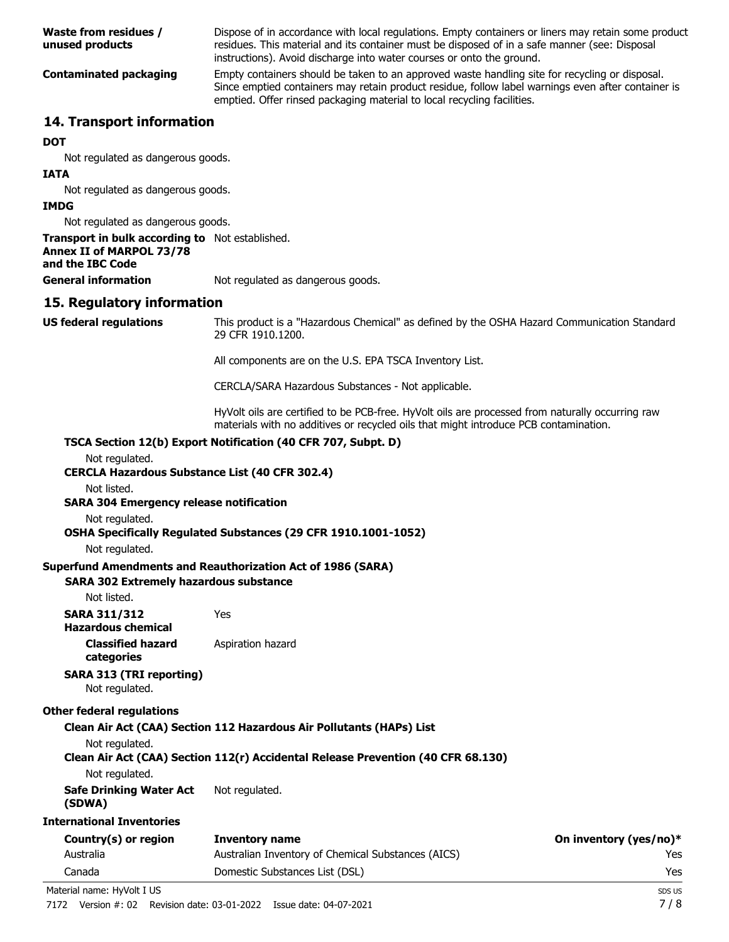| Waste from residues /<br>unused products | Dispose of in accordance with local regulations. Empty containers or liners may retain some product<br>residues. This material and its container must be disposed of in a safe manner (see: Disposal<br>instructions). Avoid discharge into water courses or onto the ground.   |
|------------------------------------------|---------------------------------------------------------------------------------------------------------------------------------------------------------------------------------------------------------------------------------------------------------------------------------|
| Contaminated packaging                   | Empty containers should be taken to an approved waste handling site for recycling or disposal.<br>Since emptied containers may retain product residue, follow label warnings even after container is<br>emptied. Offer rinsed packaging material to local recycling facilities. |
| 14. Transport information                |                                                                                                                                                                                                                                                                                 |
| <b>DOT</b>                               |                                                                                                                                                                                                                                                                                 |
| Not regulated as dangerous goods.        |                                                                                                                                                                                                                                                                                 |
| <b>IATA</b>                              |                                                                                                                                                                                                                                                                                 |
| Not regulated as dangerous goods.        |                                                                                                                                                                                                                                                                                 |
| <b>IMDG</b>                              |                                                                                                                                                                                                                                                                                 |
| Not regulated as dangerous goods.        |                                                                                                                                                                                                                                                                                 |

**Transport in bulk according to** Not established. **Annex II of MARPOL 73/78 and the IBC Code**

**General information** Not regulated as dangerous goods.

## **15. Regulatory information**

This product is a "Hazardous Chemical" as defined by the OSHA Hazard Communication Standard, 29 CFR 1910.1200. **US federal regulations**

All components are on the U.S. EPA TSCA Inventory List.

CERCLA/SARA Hazardous Substances - Not applicable.

HyVolt oils are certified to be PCB-free. HyVolt oils are processed from naturally occurring raw materials with no additives or recycled oils that might introduce PCB contamination.

## **TSCA Section 12(b) Export Notification (40 CFR 707, Subpt. D)**

|  |  | Not regulated. |
|--|--|----------------|
|--|--|----------------|

## **CERCLA Hazardous Substance List (40 CFR 302.4)**

Not listed.

## **SARA 304 Emergency release notification**

Not regulated.

#### **OSHA Specifically Regulated Substances (29 CFR 1910.1001-1052)**

Not regulated.

#### **Superfund Amendments and Reauthorization Act of 1986 (SARA)**

**SARA 302 Extremely hazardous substance**

Not listed.

**SARA 311/312** Yes **Hazardous chemical**

**Classified hazard** Aspiration hazard

# **categories**

#### **SARA 313 (TRI reporting)** Not regulated.

### **Other federal regulations**

#### **Clean Air Act (CAA) Section 112 Hazardous Air Pollutants (HAPs) List**

Not regulated.

## **Clean Air Act (CAA) Section 112(r) Accidental Release Prevention (40 CFR 68.130)**

Not regulated.

**Safe Drinking Water Act** Not regulated.

## **(SDWA)**

**International Inventories**

| Country(s) or region | Inventory name                                     | On inventory (yes/no)* |
|----------------------|----------------------------------------------------|------------------------|
| Australia            | Australian Inventory of Chemical Substances (AICS) | Yes.                   |
| Canada               | Domestic Substances List (DSL)                     | Yes                    |
| .<br>.               |                                                    |                        |